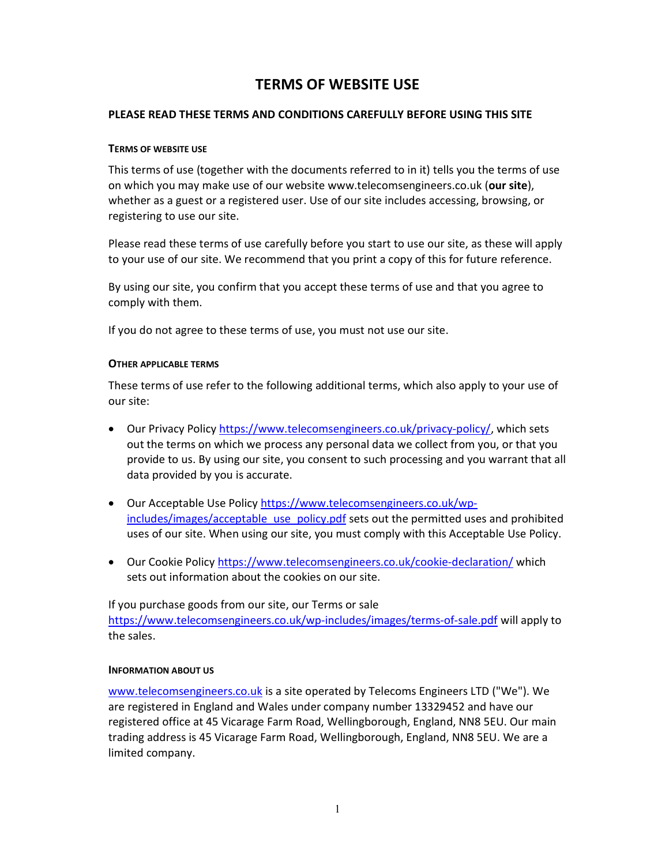# TERMS OF WEBSITE USE

## PLEASE READ THESE TERMS AND CONDITIONS CAREFULLY BEFORE USING THIS SITE

#### TERMS OF WEBSITE USE

This terms of use (together with the documents referred to in it) tells you the terms of use on which you may make use of our website www.telecomsengineers.co.uk (our site), whether as a guest or a registered user. Use of our site includes accessing, browsing, or registering to use our site.

Please read these terms of use carefully before you start to use our site, as these will apply to your use of our site. We recommend that you print a copy of this for future reference.

By using our site, you confirm that you accept these terms of use and that you agree to comply with them.

If you do not agree to these terms of use, you must not use our site.

## OTHER APPLICABLE TERMS

These terms of use refer to the following additional terms, which also apply to your use of our site:

- Our Privacy Policy https://www.telecomsengineers.co.uk/privacy-policy/, which sets out the terms on which we process any personal data we collect from you, or that you provide to us. By using our site, you consent to such processing and you warrant that all data provided by you is accurate.
- Our Acceptable Use Policy https://www.telecomsengineers.co.uk/wpincludes/images/acceptable\_use\_policy.pdf sets out the permitted uses and prohibited uses of our site. When using our site, you must comply with this Acceptable Use Policy.
- Our Cookie Policy https://www.telecomsengineers.co.uk/cookie-declaration/ which sets out information about the cookies on our site.

If you purchase goods from our site, our Terms or sale https://www.telecomsengineers.co.uk/wp-includes/images/terms-of-sale.pdf will apply to the sales.

## INFORMATION ABOUT US

www.telecomsengineers.co.uk is a site operated by Telecoms Engineers LTD ("We"). We are registered in England and Wales under company number 13329452 and have our registered office at 45 Vicarage Farm Road, Wellingborough, England, NN8 5EU. Our main trading address is 45 Vicarage Farm Road, Wellingborough, England, NN8 5EU. We are a limited company.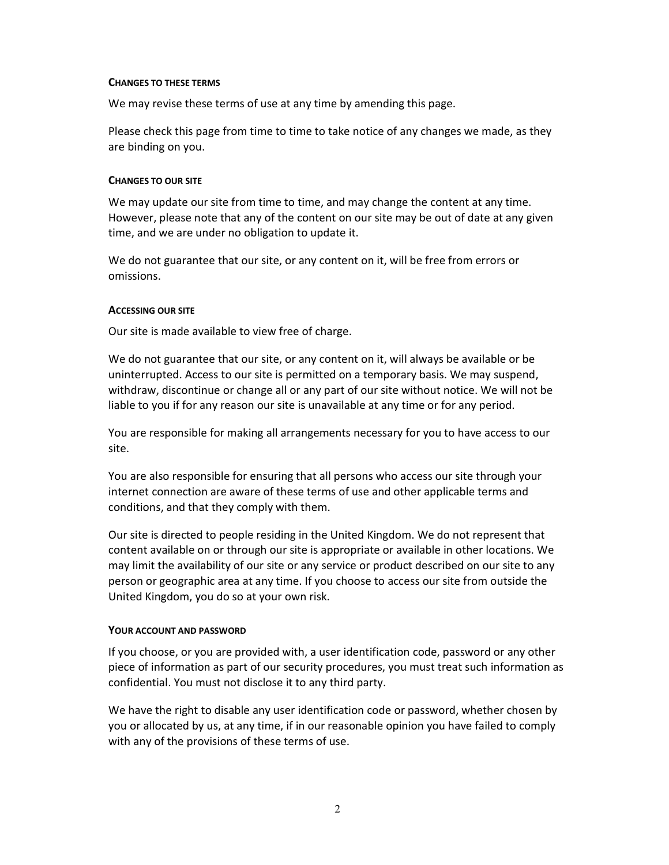#### CHANGES TO THESE TERMS

We may revise these terms of use at any time by amending this page.

Please check this page from time to time to take notice of any changes we made, as they are binding on you.

#### CHANGES TO OUR SITE

We may update our site from time to time, and may change the content at any time. However, please note that any of the content on our site may be out of date at any given time, and we are under no obligation to update it.

We do not guarantee that our site, or any content on it, will be free from errors or omissions.

#### ACCESSING OUR SITE

Our site is made available to view free of charge.

We do not guarantee that our site, or any content on it, will always be available or be uninterrupted. Access to our site is permitted on a temporary basis. We may suspend, withdraw, discontinue or change all or any part of our site without notice. We will not be liable to you if for any reason our site is unavailable at any time or for any period.

You are responsible for making all arrangements necessary for you to have access to our site.

You are also responsible for ensuring that all persons who access our site through your internet connection are aware of these terms of use and other applicable terms and conditions, and that they comply with them.

Our site is directed to people residing in the United Kingdom. We do not represent that content available on or through our site is appropriate or available in other locations. We may limit the availability of our site or any service or product described on our site to any person or geographic area at any time. If you choose to access our site from outside the United Kingdom, you do so at your own risk.

#### YOUR ACCOUNT AND PASSWORD

If you choose, or you are provided with, a user identification code, password or any other piece of information as part of our security procedures, you must treat such information as confidential. You must not disclose it to any third party.

We have the right to disable any user identification code or password, whether chosen by you or allocated by us, at any time, if in our reasonable opinion you have failed to comply with any of the provisions of these terms of use.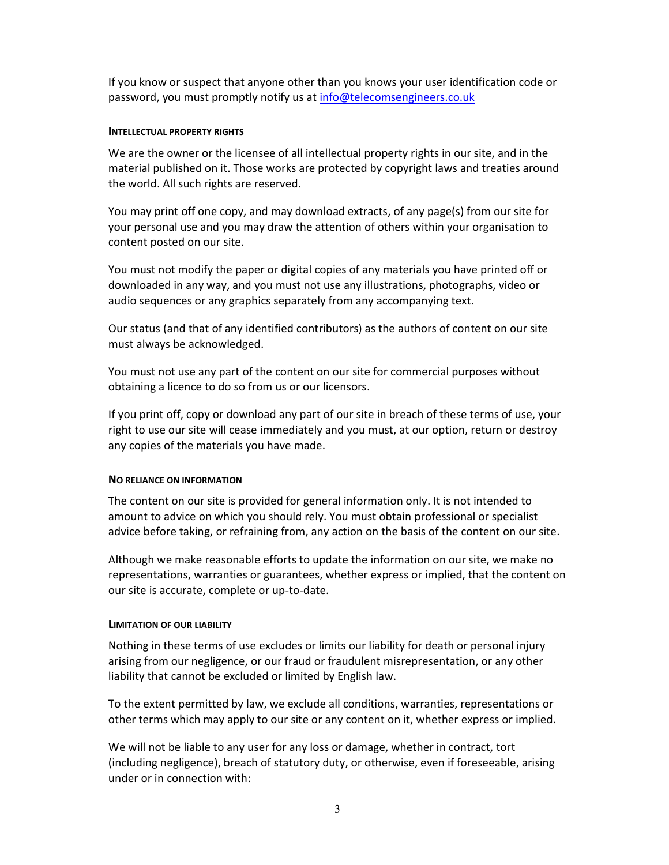If you know or suspect that anyone other than you knows your user identification code or password, you must promptly notify us at info@telecomsengineers.co.uk

#### INTELLECTUAL PROPERTY RIGHTS

We are the owner or the licensee of all intellectual property rights in our site, and in the material published on it. Those works are protected by copyright laws and treaties around the world. All such rights are reserved.

You may print off one copy, and may download extracts, of any page(s) from our site for your personal use and you may draw the attention of others within your organisation to content posted on our site.

You must not modify the paper or digital copies of any materials you have printed off or downloaded in any way, and you must not use any illustrations, photographs, video or audio sequences or any graphics separately from any accompanying text.

Our status (and that of any identified contributors) as the authors of content on our site must always be acknowledged.

You must not use any part of the content on our site for commercial purposes without obtaining a licence to do so from us or our licensors.

If you print off, copy or download any part of our site in breach of these terms of use, your right to use our site will cease immediately and you must, at our option, return or destroy any copies of the materials you have made.

## NO RELIANCE ON INFORMATION

The content on our site is provided for general information only. It is not intended to amount to advice on which you should rely. You must obtain professional or specialist advice before taking, or refraining from, any action on the basis of the content on our site.

Although we make reasonable efforts to update the information on our site, we make no representations, warranties or guarantees, whether express or implied, that the content on our site is accurate, complete or up-to-date.

## LIMITATION OF OUR LIABILITY

Nothing in these terms of use excludes or limits our liability for death or personal injury arising from our negligence, or our fraud or fraudulent misrepresentation, or any other liability that cannot be excluded or limited by English law.

To the extent permitted by law, we exclude all conditions, warranties, representations or other terms which may apply to our site or any content on it, whether express or implied.

We will not be liable to any user for any loss or damage, whether in contract, tort (including negligence), breach of statutory duty, or otherwise, even if foreseeable, arising under or in connection with: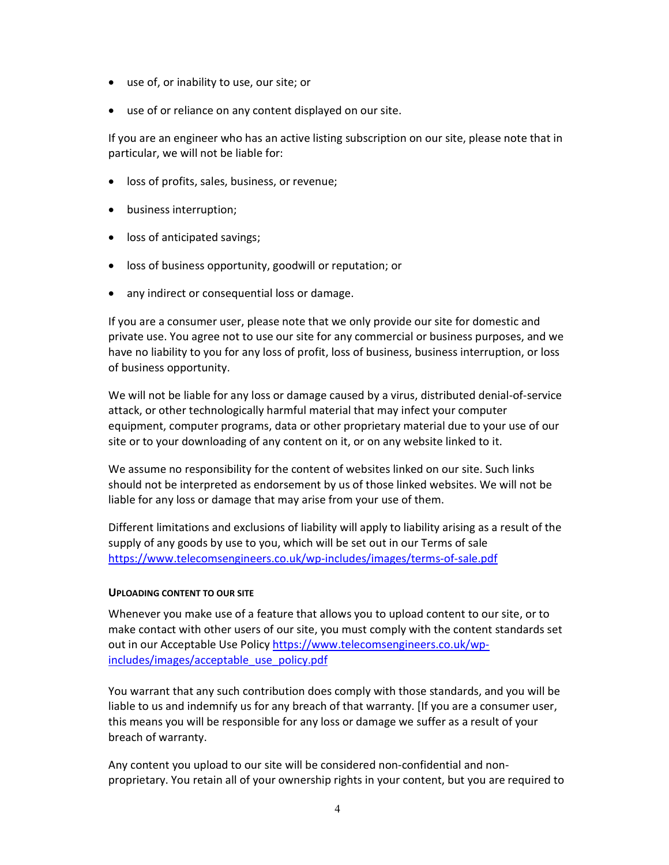- use of, or inability to use, our site; or
- use of or reliance on any content displayed on our site.

If you are an engineer who has an active listing subscription on our site, please note that in particular, we will not be liable for:

- loss of profits, sales, business, or revenue;
- business interruption;
- loss of anticipated savings;
- loss of business opportunity, goodwill or reputation; or
- any indirect or consequential loss or damage.

If you are a consumer user, please note that we only provide our site for domestic and private use. You agree not to use our site for any commercial or business purposes, and we have no liability to you for any loss of profit, loss of business, business interruption, or loss of business opportunity.

We will not be liable for any loss or damage caused by a virus, distributed denial-of-service attack, or other technologically harmful material that may infect your computer equipment, computer programs, data or other proprietary material due to your use of our site or to your downloading of any content on it, or on any website linked to it.

We assume no responsibility for the content of websites linked on our site. Such links should not be interpreted as endorsement by us of those linked websites. We will not be liable for any loss or damage that may arise from your use of them.

Different limitations and exclusions of liability will apply to liability arising as a result of the supply of any goods by use to you, which will be set out in our Terms of sale https://www.telecomsengineers.co.uk/wp-includes/images/terms-of-sale.pdf

## UPLOADING CONTENT TO OUR SITE

Whenever you make use of a feature that allows you to upload content to our site, or to make contact with other users of our site, you must comply with the content standards set out in our Acceptable Use Policy https://www.telecomsengineers.co.uk/wpincludes/images/acceptable\_use\_policy.pdf

You warrant that any such contribution does comply with those standards, and you will be liable to us and indemnify us for any breach of that warranty. [If you are a consumer user, this means you will be responsible for any loss or damage we suffer as a result of your breach of warranty.

Any content you upload to our site will be considered non-confidential and nonproprietary. You retain all of your ownership rights in your content, but you are required to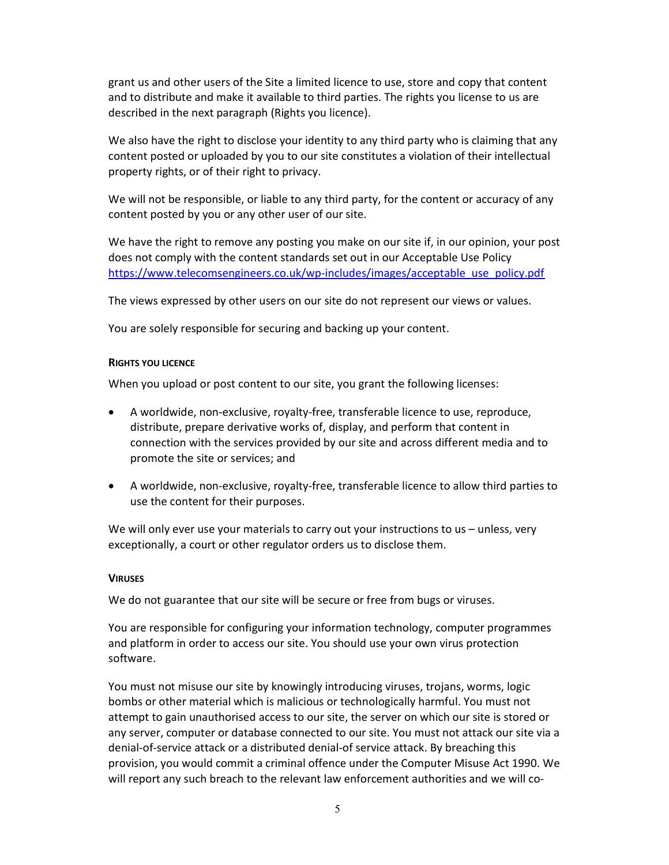grant us and other users of the Site a limited licence to use, store and copy that content and to distribute and make it available to third parties. The rights you license to us are described in the next paragraph (Rights you licence).

We also have the right to disclose your identity to any third party who is claiming that any content posted or uploaded by you to our site constitutes a violation of their intellectual property rights, or of their right to privacy.

We will not be responsible, or liable to any third party, for the content or accuracy of any content posted by you or any other user of our site.

We have the right to remove any posting you make on our site if, in our opinion, your post does not comply with the content standards set out in our Acceptable Use Policy https://www.telecomsengineers.co.uk/wp-includes/images/acceptable\_use\_policy.pdf

The views expressed by other users on our site do not represent our views or values.

You are solely responsible for securing and backing up your content.

#### RIGHTS YOU LICENCE

When you upload or post content to our site, you grant the following licenses:

- A worldwide, non-exclusive, royalty-free, transferable licence to use, reproduce, distribute, prepare derivative works of, display, and perform that content in connection with the services provided by our site and across different media and to promote the site or services; and
- A worldwide, non-exclusive, royalty-free, transferable licence to allow third parties to use the content for their purposes.

We will only ever use your materials to carry out your instructions to us – unless, very exceptionally, a court or other regulator orders us to disclose them.

#### **VIRUSES**

We do not guarantee that our site will be secure or free from bugs or viruses.

You are responsible for configuring your information technology, computer programmes and platform in order to access our site. You should use your own virus protection software.

You must not misuse our site by knowingly introducing viruses, trojans, worms, logic bombs or other material which is malicious or technologically harmful. You must not attempt to gain unauthorised access to our site, the server on which our site is stored or any server, computer or database connected to our site. You must not attack our site via a denial-of-service attack or a distributed denial-of service attack. By breaching this provision, you would commit a criminal offence under the Computer Misuse Act 1990. We will report any such breach to the relevant law enforcement authorities and we will co